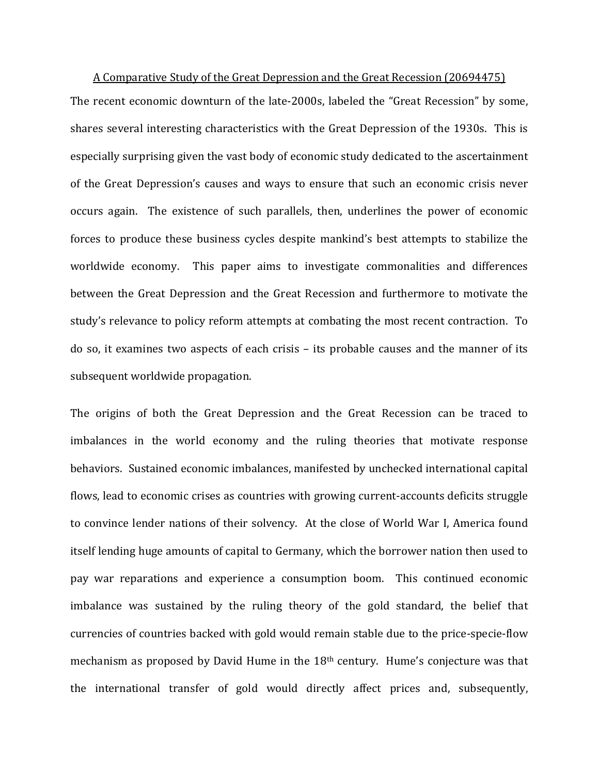A Comparative Study of the Great Depression and the Great Recession (20694475) The recent economic downturn of the late-2000s, labeled the "Great Recession" by some, shares several interesting characteristics with the Great Depression of the 1930s. This is especially surprising given the vast body of economic study dedicated to the ascertainment of the Great Depression's causes and ways to ensure that such an economic crisis never occurs again. The existence of such parallels, then, underlines the power of economic forces to produce these business cycles despite mankind's best attempts to stabilize the worldwide economy. This paper aims to investigate commonalities and differences between the Great Depression and the Great Recession and furthermore to motivate the study's relevance to policy reform attempts at combating the most recent contraction. To do so, it examines two aspects of each crisis – its probable causes and the manner of its subsequent worldwide propagation.

The origins of both the Great Depression and the Great Recession can be traced to imbalances in the world economy and the ruling theories that motivate response behaviors. Sustained economic imbalances, manifested by unchecked international capital flows, lead to economic crises as countries with growing current-accounts deficits struggle to convince lender nations of their solvency. At the close of World War I, America found itself lending huge amounts of capital to Germany, which the borrower nation then used to pay war reparations and experience a consumption boom. This continued economic imbalance was sustained by the ruling theory of the gold standard, the belief that currencies of countries backed with gold would remain stable due to the price-specie-flow mechanism as proposed by David Hume in the 18<sup>th</sup> century. Hume's conjecture was that the international transfer of gold would directly affect prices and, subsequently,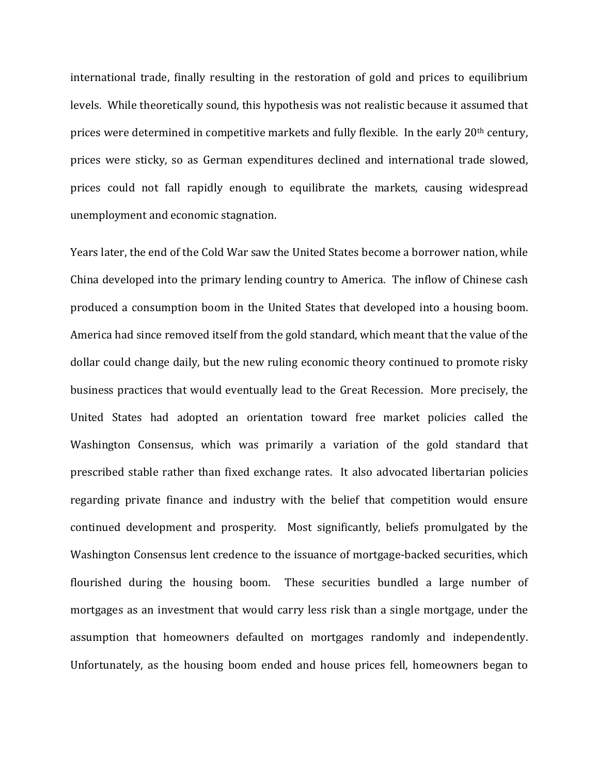international trade, finally resulting in the restoration of gold and prices to equilibrium levels. While theoretically sound, this hypothesis was not realistic because it assumed that prices were determined in competitive markets and fully flexible. In the early 20<sup>th</sup> century, prices were sticky, so as German expenditures declined and international trade slowed, prices could not fall rapidly enough to equilibrate the markets, causing widespread unemployment and economic stagnation.

Years later, the end of the Cold War saw the United States become a borrower nation, while China developed into the primary lending country to America. The inflow of Chinese cash produced a consumption boom in the United States that developed into a housing boom. America had since removed itself from the gold standard, which meant that the value of the dollar could change daily, but the new ruling economic theory continued to promote risky business practices that would eventually lead to the Great Recession. More precisely, the United States had adopted an orientation toward free market policies called the Washington Consensus, which was primarily a variation of the gold standard that prescribed stable rather than fixed exchange rates. It also advocated libertarian policies regarding private finance and industry with the belief that competition would ensure continued development and prosperity. Most significantly, beliefs promulgated by the Washington Consensus lent credence to the issuance of mortgage-backed securities, which flourished during the housing boom. These securities bundled a large number of mortgages as an investment that would carry less risk than a single mortgage, under the assumption that homeowners defaulted on mortgages randomly and independently. Unfortunately, as the housing boom ended and house prices fell, homeowners began to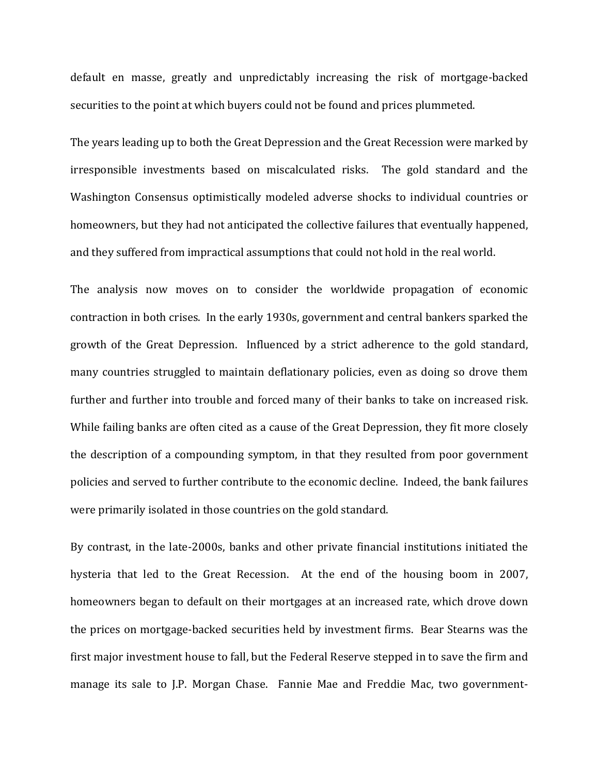default en masse, greatly and unpredictably increasing the risk of mortgage-backed securities to the point at which buyers could not be found and prices plummeted.

The years leading up to both the Great Depression and the Great Recession were marked by irresponsible investments based on miscalculated risks. The gold standard and the Washington Consensus optimistically modeled adverse shocks to individual countries or homeowners, but they had not anticipated the collective failures that eventually happened, and they suffered from impractical assumptions that could not hold in the real world.

The analysis now moves on to consider the worldwide propagation of economic contraction in both crises. In the early 1930s, government and central bankers sparked the growth of the Great Depression. Influenced by a strict adherence to the gold standard, many countries struggled to maintain deflationary policies, even as doing so drove them further and further into trouble and forced many of their banks to take on increased risk. While failing banks are often cited as a cause of the Great Depression, they fit more closely the description of a compounding symptom, in that they resulted from poor government policies and served to further contribute to the economic decline. Indeed, the bank failures were primarily isolated in those countries on the gold standard.

By contrast, in the late-2000s, banks and other private financial institutions initiated the hysteria that led to the Great Recession. At the end of the housing boom in 2007, homeowners began to default on their mortgages at an increased rate, which drove down the prices on mortgage-backed securities held by investment firms. Bear Stearns was the first major investment house to fall, but the Federal Reserve stepped in to save the firm and manage its sale to J.P. Morgan Chase. Fannie Mae and Freddie Mac, two government